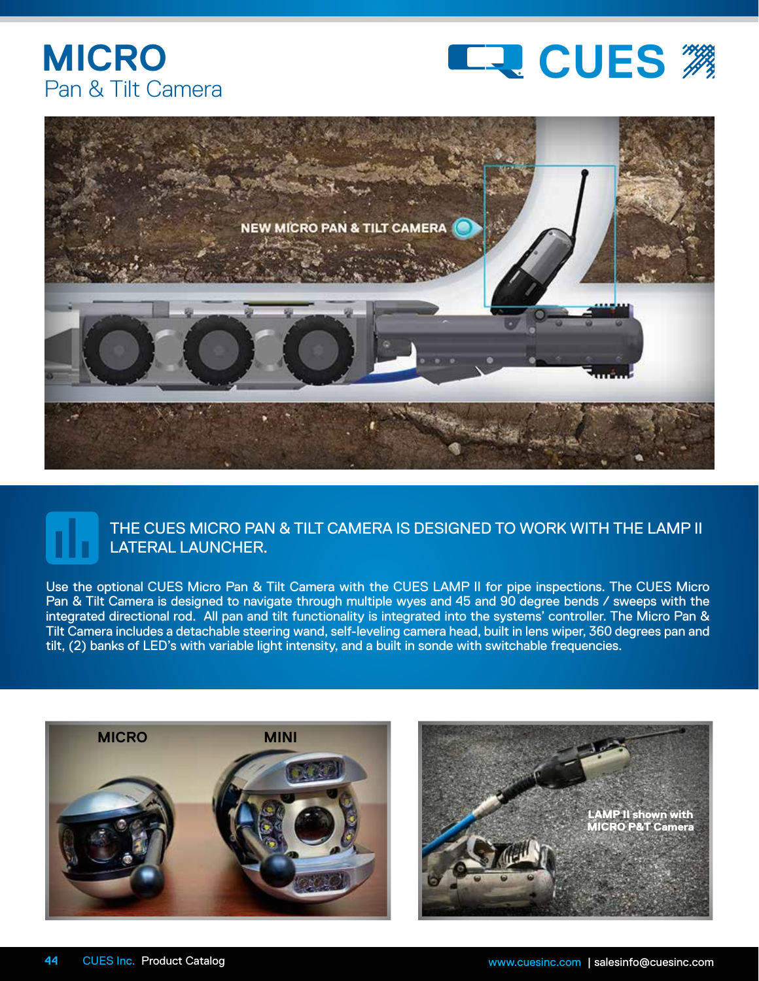





## THE CUES MICRO PAN & TILT CAMERA IS DESIGNED TO WORK WITH THE LAMP II LATERAL LAUNCHER.

Use the optional CUES Micro Pan & Tilt Camera with the CUES LAMP II for pipe inspections. The CUES Micro Pan & Tilt Camera is designed to navigate through multiple wyes and 45 and 90 degree bends / sweeps with the integrated directional rod. All pan and tilt functionality is integrated into the systems' controller. The Micro Pan & Tilt Camera includes a detachable steering wand, self-leveling camera head, built in lens wiper, 360 degrees pan and tilt, (2) banks of LED's with variable light intensity, and a built in sonde with switchable frequencies.